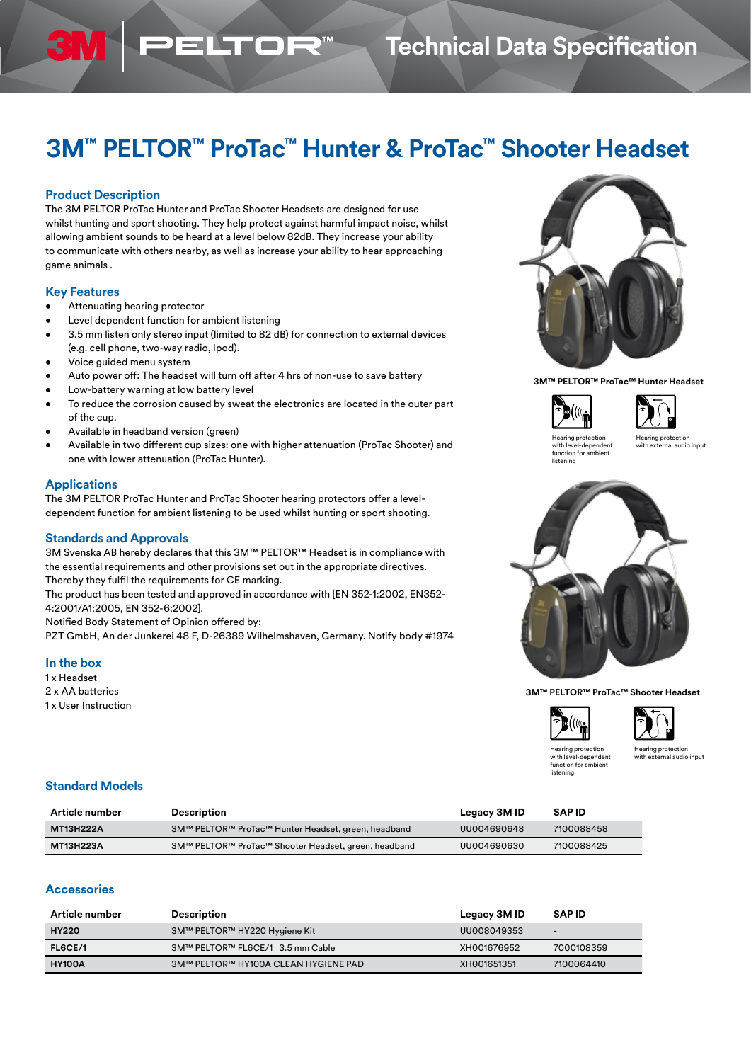## **Technical Data Specification**

# **3M™ PELTOR™ ProTac™ Hunter & ProTac™ Shooter Headset**

#### **Product Description**

3N

The 3M PELTOR ProTac Hunter and ProTac Shooter Headsets are designed for use whilst hunting and sport shooting. They help protect against harmful impact noise, whilst allowing ambient sounds to be heard at a level below 82dB. They increase your ability to communicate with others nearby, as well as increase your ability to hear approaching game animals .

**ELTOR** 

#### **Key Features**

- Attenuating hearing protector
- Level dependent function for ambient listening
- 3.5 mm listen only stereo input (limited to 82 dB) for connection to external devices (e.g. cell phone, two-way radio, Ipod).
- Voice guided menu system
- Auto power off: The headset will turn off after 4 hrs of non-use to save battery
- Low-battery warning at low battery level
- To reduce the corrosion caused by sweat the electronics are located in the outer part of the cup.
- Available in headband version (green)
- Available in two different cup sizes: one with higher attenuation (ProTac Shooter) and one with lower attenuation (ProTac Hunter).

#### **Applications**

The 3M PELTOR ProTac Hunter and ProTac Shooter hearing protectors offer a leveldependent function for ambient listening to be used whilst hunting or sport shooting.

#### **Standards and Approvals**

3M Svenska AB hereby declares that this 3M™ PELTOR™ Headset is in compliance with the essential requirements and other provisions set out in the appropriate directives. Thereby they fulfil the requirements for CE marking.

The product has been tested and approved in accordance with [EN 352-1:2002, EN352- 4:2001/A1:2005, EN 352-6:2002].

Notified Body Statement of Opinion offered by:

PZT GmbH, An der Junkerei 48 F, D-26389 Wilhelmshaven, Germany. Notify body #1974

#### **In the box**

1 x Headset 2 x AA batteries 1 x User Instruction



**3M™ PELTOR™ ProTac™ Hunter Headset**





Hearing protection with level-dependent function for ambient listening

Hearing protection with external audio input



**3M™ PELTOR™ ProTac™ Shooter Headset**





Hearing protection with level-dependent function for ambient

Hearing protection with external audio input

hina

#### **Standard Models**

| Article number | <b>Description</b>                                   | Legacy 3M ID | <b>SAPID</b> |
|----------------|------------------------------------------------------|--------------|--------------|
| MT13H222A      | 3M™ PELTOR™ ProTac™ Hunter Headset, green, headband  | UU004690648  | 7100088458   |
| MT13H223A      | 3M™ PELTOR™ ProTac™ Shooter Headset, green, headband | UU004690630  | 7100088425   |

### **Accessories**

| Article number | Description                          | Legacy 3M ID | <b>SAPID</b>             |
|----------------|--------------------------------------|--------------|--------------------------|
| <b>HY220</b>   | 3M™ PELTOR™ HY220 Hygiene Kit        | UU008049353  | $\overline{\phantom{0}}$ |
| FL6CE/1        | 3M™ PELTOR™ FL6CE/1 3.5 mm Cable     | XH001676952  | 7000108359               |
| <b>HY100A</b>  | 3M™ PELTOR™ HY100A CLEAN HYGIENE PAD | XH001651351  | 7100064410               |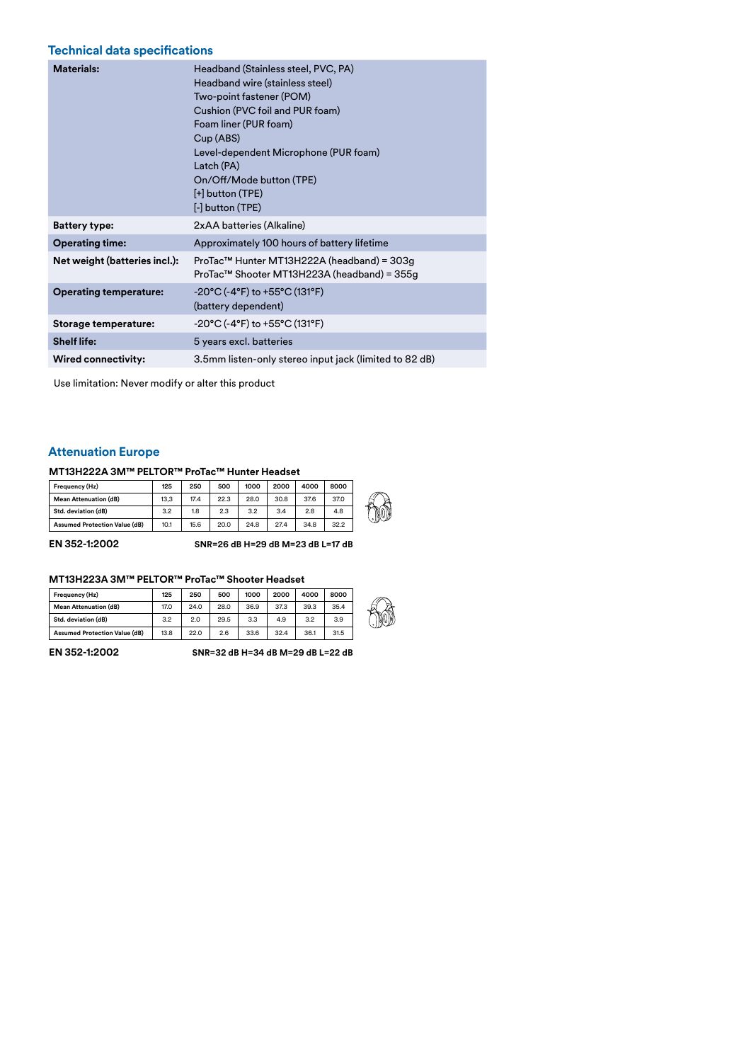### **Technical data specifications**

| <b>Materials:</b>             | Headband (Stainless steel, PVC, PA)<br>Headband wire (stainless steel)<br>Two-point fastener (POM)<br>Cushion (PVC foil and PUR foam)<br>Foam liner (PUR foam)<br>Cup (ABS)<br>Level-dependent Microphone (PUR foam)<br>Latch (PA)<br>On/Off/Mode button (TPE)<br>[+] button (TPE)<br>[-] button (TPE) |
|-------------------------------|--------------------------------------------------------------------------------------------------------------------------------------------------------------------------------------------------------------------------------------------------------------------------------------------------------|
| <b>Battery type:</b>          | 2xAA batteries (Alkaline)                                                                                                                                                                                                                                                                              |
| <b>Operating time:</b>        | Approximately 100 hours of battery lifetime                                                                                                                                                                                                                                                            |
| Net weight (batteries incl.): | ProTac™ Hunter MT13H222A (headband) = 303g<br>ProTac™ Shooter MT13H223A (headband) = 355g                                                                                                                                                                                                              |
| <b>Operating temperature:</b> | -20°C (-4°F) to +55°C (131°F)<br>(battery dependent)                                                                                                                                                                                                                                                   |
| Storage temperature:          | $-20^{\circ}$ C (-4°F) to +55°C (131°F)                                                                                                                                                                                                                                                                |
| <b>Shelf life:</b>            | 5 years excl. batteries                                                                                                                                                                                                                                                                                |
| <b>Wired connectivity:</b>    | 3.5mm listen-only stereo input jack (limited to 82 dB)                                                                                                                                                                                                                                                 |

Use limitation: Never modify or alter this product

### **Attenuation Europe**

#### **MT13H222A 3M™ PELTOR™ ProTac™ Hunter Headset**

| Frequency (Hz)                       | 125  | 250  | 500  | 1000 | 2000 | 4000 | 8000 |              |
|--------------------------------------|------|------|------|------|------|------|------|--------------|
| <b>Mean Attenuation (dB)</b>         | 13.3 | 17.4 | 22.3 | 28.0 | 30.8 | 37.6 | 37.0 | ₽            |
| Std. deviation (dB)                  | 3.2  | 1.8  | 2.3  | 3.2  | 3.4  | 2.8  | 4.8  | $\mathbb{D}$ |
| <b>Assumed Protection Value (dB)</b> | 10.1 | 15.6 | 20.0 | 24.8 | 27.4 | 34.8 | 32.2 |              |

**EN 352-1:2002 SNR=26 dB H=29 dB M=23 dB L=17 dB** 

#### **MT13H223A 3M™ PELTOR™ ProTac™ Shooter Headset**

| Frequency (Hz)                       | 125  | 250  | 500  | 1000 | 2000 | 4000 | 8000 |
|--------------------------------------|------|------|------|------|------|------|------|
| <b>Mean Attenuation (dB)</b>         | 17.0 | 24.0 | 28.0 | 36.9 | 37.3 | 39.3 | 35.4 |
| Std. deviation (dB)                  | 3.2  | 2.0  | 29.5 | 3.3  | 4.9  | 3.2  | 3.9  |
| <b>Assumed Protection Value (dB)</b> | 13.8 | 22.0 | 2.6  | 33.6 | 32.4 | 36.1 | 31.5 |

**EN 352-1:2002 SNR=32 dB H=34 dB M=29 dB L=22 dB**